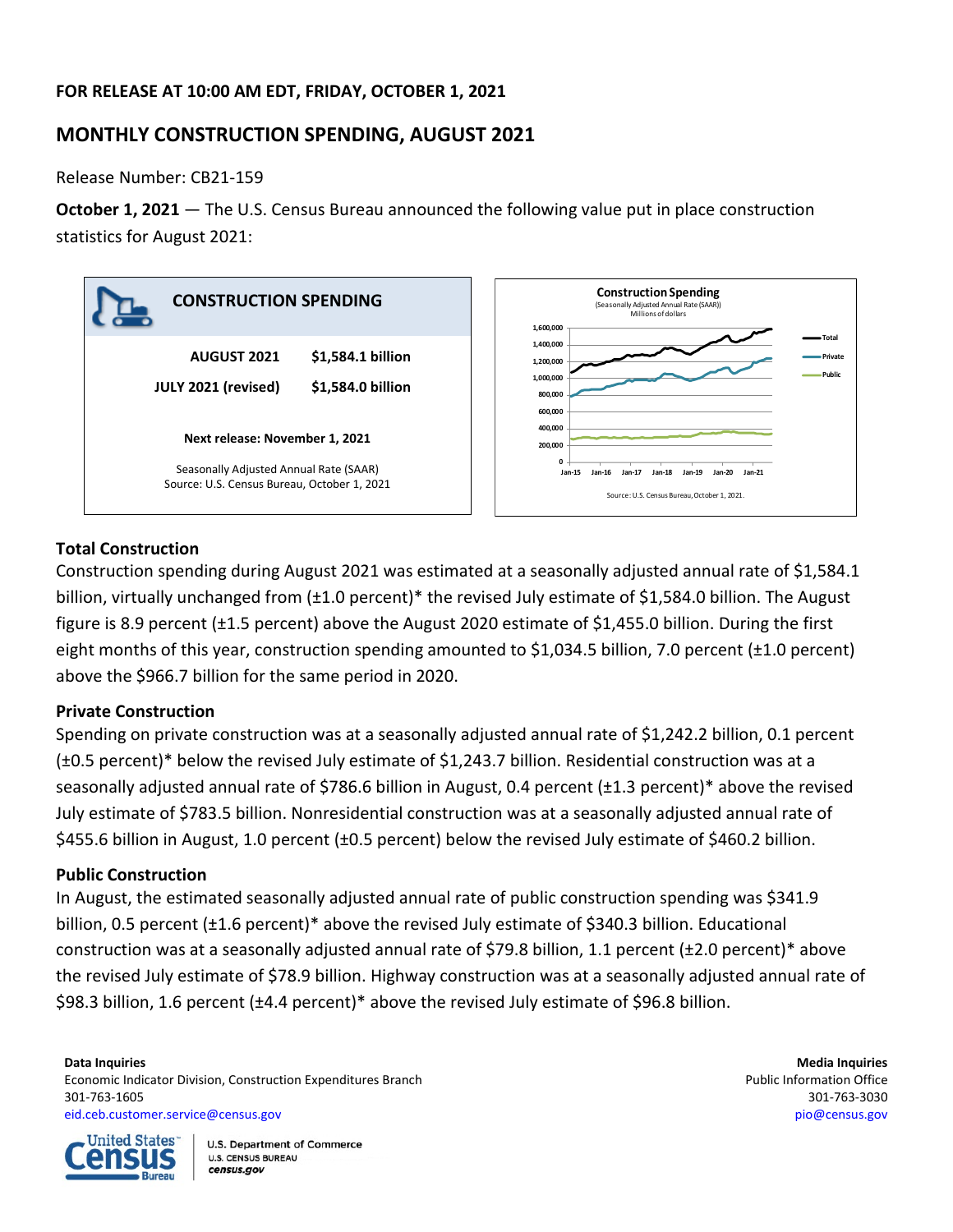# **FOR RELEASE AT 10:00 AM EDT, FRIDAY, OCTOBER 1, 2021**

# **MONTHLY CONSTRUCTION SPENDING, AUGUST 2021**

Release Number: CB21-159

**October 1, 2021** — The U.S. Census Bureau announced the following value put in place construction statistics for August 2021:



### **Total Construction**

Construction spending during August 2021 was estimated at a seasonally adjusted annual rate of \$1,584.1 billion, virtually unchanged from (±1.0 percent)\* the revised July estimate of \$1,584.0 billion. The August figure is 8.9 percent (±1.5 percent) above the August 2020 estimate of \$1,455.0 billion. During the first eight months of this year, construction spending amounted to \$1,034.5 billion, 7.0 percent (±1.0 percent) above the \$966.7 billion for the same period in 2020.

### **Private Construction**

Spending on private construction was at a seasonally adjusted annual rate of \$1,242.2 billion, 0.1 percent (±0.5 percent)\* below the revised July estimate of \$1,243.7 billion. Residential construction was at a seasonally adjusted annual rate of \$786.6 billion in August, 0.4 percent (±1.3 percent)\* above the revised July estimate of \$783.5 billion. Nonresidential construction was at a seasonally adjusted annual rate of \$455.6 billion in August, 1.0 percent (±0.5 percent) below the revised July estimate of \$460.2 billion.

### **Public Construction**

In August, the estimated seasonally adjusted annual rate of public construction spending was \$341.9 billion, 0.5 percent (±1.6 percent)\* above the revised July estimate of \$340.3 billion. Educational construction was at a seasonally adjusted annual rate of \$79.8 billion, 1.1 percent (±2.0 percent)\* above the revised July estimate of \$78.9 billion. Highway construction was at a seasonally adjusted annual rate of \$98.3 billion, 1.6 percent (±4.4 percent)\* above the revised July estimate of \$96.8 billion.

#### **Data Inquiries Media Inquiries** Economic Indicator Division, Construction Expenditures Branch **Public Information Office** Public Information Office 301-763-1605 301-763-3030 [eid.ceb.customer.service@census.gov](mailto:eid.ceb.customer.service@census.gov) [pio@census.gov](mailto:pio@census.gov)

**United States** ansus **Bureau**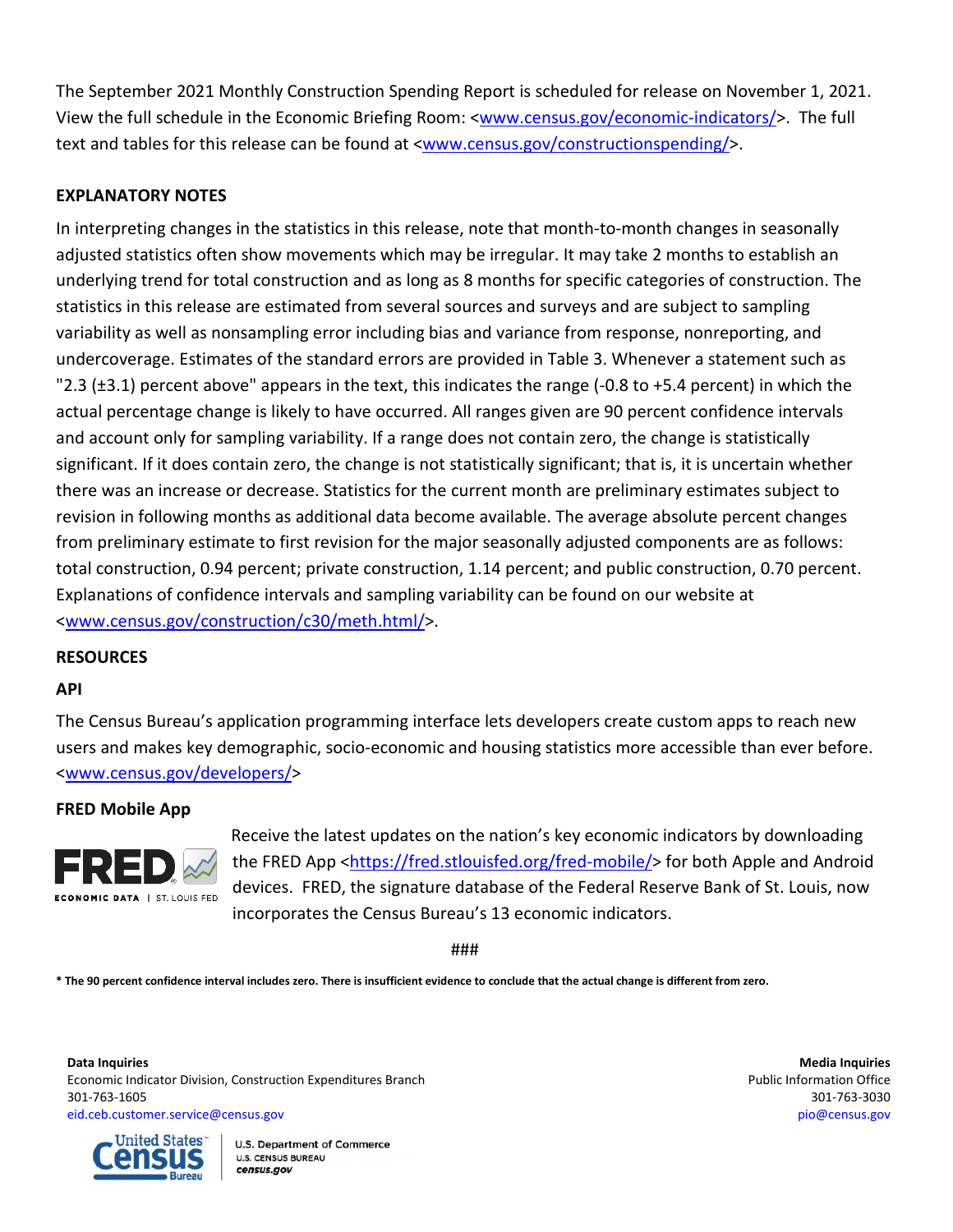The September 2021 Monthly Construction Spending Report is scheduled for release on November 1, 2021. View the full schedule in the Economic Briefing Room: [<www.census.gov/economic-indicators/>](http://www.census.gov/economic-indicators/). The full text and tables for this release can be found at [<www.census.gov/constructionspending/>](http://www.census.gov/constructionspending/).

## **EXPLANATORY NOTES**

In interpreting changes in the statistics in this release, note that month-to-month changes in seasonally adjusted statistics often show movements which may be irregular. It may take 2 months to establish an underlying trend for total construction and as long as 8 months for specific categories of construction. The statistics in this release are estimated from several sources and surveys and are subject to sampling variability as well as nonsampling error including bias and variance from response, nonreporting, and undercoverage. Estimates of the standard errors are provided in Table 3. Whenever a statement such as "2.3 (±3.1) percent above" appears in the text, this indicates the range (-0.8 to +5.4 percent) in which the actual percentage change is likely to have occurred. All ranges given are 90 percent confidence intervals and account only for sampling variability. If a range does not contain zero, the change is statistically significant. If it does contain zero, the change is not statistically significant; that is, it is uncertain whether there was an increase or decrease. Statistics for the current month are preliminary estimates subject to revision in following months as additional data become available. The average absolute percent changes from preliminary estimate to first revision for the major seasonally adjusted components are as follows: total construction, 0.94 percent; private construction, 1.14 percent; and public construction, 0.70 percent. Explanations of confidence intervals and sampling variability can be found on our website at [<www.census.gov/construction/c30/meth.html/](http://www.census.gov/construction/c30/meth.html)>.

### **RESOURCES**

#### **API**

The Census Bureau's application programming interface lets developers create custom apps to reach new users and makes key demographic, socio-economic and housing statistics more accessible than ever before. [<www.census.gov/developers/>](https://www.census.gov/developers/)

#### **FRED Mobile App**



Receive the latest updates on the nation's key economic indicators by downloading the FRED App [<https://fred.stlouisfed.org/fred-mobile/>](https://fred.stlouisfed.org/fred-mobile/index.php?utm_source=census&utm_medium=pdf&utm_campaign=mobile_app) for both Apple and Android devices. FRED, the signature database of the Federal Reserve Bank of St. Louis, now incorporates the Census Bureau's 13 economic indicators.

###

**\* The 90 percent confidence interval includes zero. There is insufficient evidence to conclude that the actual change is different from zero.**

**Data Inquiries Media Inquiries** Economic Indicator Division, Construction Expenditures Branch **Public Information Office** Public Information Office 301-763-1605 301-763-3030 [eid.ceb.customer.service@census.gov](mailto:eid.ceb.customer.service@census.gov) [pio@census.gov](mailto:pio@census.gov)



**U.S. Department of Commerce U.S. CENSUS BUREAU** census.gov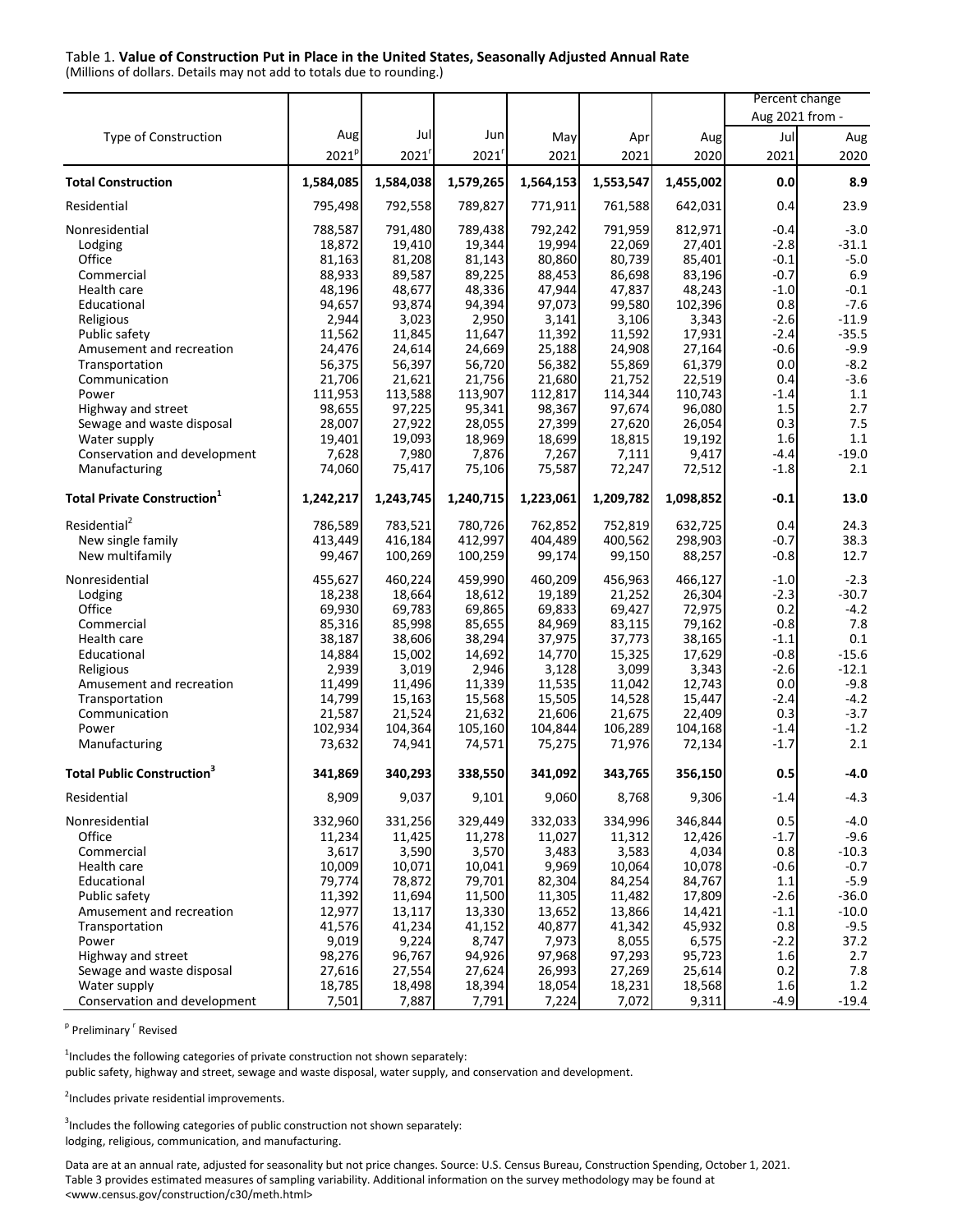#### Table 1. **Value of Construction Put in Place in the United States, Seasonally Adjusted Annual Rate**

(Millions of dollars. Details may not add to totals due to rounding.)

|                                                |                   |                   |                   |                   |                   |                   | Percent change   |                    |
|------------------------------------------------|-------------------|-------------------|-------------------|-------------------|-------------------|-------------------|------------------|--------------------|
|                                                |                   |                   |                   |                   |                   |                   | Aug 2021 from -  |                    |
| Type of Construction                           | Aug               | Jul               | Jun               | May               | Apr               | Aug               | Jul              | Aug                |
|                                                | 2021 <sup>p</sup> | 2021'             | 2021'             | 2021              | 2021              | 2020              | 2021             | 2020               |
| <b>Total Construction</b>                      | 1,584,085         | 1,584,038         | 1,579,265         | 1,564,153         | 1,553,547         | 1,455,002         | 0.0              | 8.9                |
| Residential                                    | 795,498           | 792,558           | 789,827           | 771,911           | 761,588           | 642,031           | 0.4              | 23.9               |
| Nonresidential                                 | 788,587           | 791,480           | 789,438           | 792,242           | 791,959           | 812,971           | $-0.4$           | $-3.0$             |
| Lodging                                        | 18,872            | 19,410            | 19,344            | 19,994            | 22,069            | 27,401            | $-2.8$           | $-31.1$            |
| Office                                         | 81,163            | 81,208            | 81,143            | 80,860            | 80,739            | 85,401            | $-0.1$           | $-5.0$             |
| Commercial                                     | 88,933            | 89,587            | 89,225            | 88,453            | 86,698            | 83,196            | $-0.7$           | 6.9                |
| Health care                                    | 48,196            | 48,677            | 48,336            | 47,944            | 47,837            | 48,243            | $-1.0$           | $-0.1$             |
| Educational                                    | 94,657            | 93,874            | 94,394            | 97,073            | 99,580            | 102,396           | 0.8              | $-7.6$             |
| Religious                                      | 2,944             | 3,023             | 2,950             | 3,141             | 3,106             | 3,343             | $-2.6$<br>$-2.4$ | $-11.9$<br>$-35.5$ |
| Public safety<br>Amusement and recreation      | 11,562<br>24,476  | 11,845<br>24,614  | 11,647<br>24,669  | 11,392            | 11,592<br>24,908  | 17,931<br>27,164  | -0.6             | $-9.9$             |
| Transportation                                 | 56,375            | 56,397            | 56,720            | 25,188<br>56,382  | 55,869            | 61,379            | 0.0              | $-8.2$             |
| Communication                                  | 21,706            | 21,621            | 21,756            | 21,680            | 21,752            | 22,519            | 0.4              | $-3.6$             |
| Power                                          | 111,953           | 113,588           | 113,907           | 112,817           | 114,344           | 110,743           | -1.4             | 1.1                |
| Highway and street                             | 98,655            | 97,225            | 95,341            | 98,367            | 97,674            | 96,080            | 1.5              | 2.7                |
| Sewage and waste disposal                      | 28,007            | 27,922            | 28,055            | 27,399            | 27,620            | 26,054            | 0.3              | 7.5                |
| Water supply                                   | 19,401            | 19,093            | 18,969            | 18,699            | 18,815            | 19,192            | 1.6              | 1.1                |
| Conservation and development                   | 7,628             | 7,980             | 7,876             | 7,267             | 7,111             | 9,417             | $-4.4$           | $-19.0$            |
| Manufacturing                                  | 74,060            | 75,417            | 75,106            | 75,587            | 72,247            | 72,512            | $-1.8$           | 2.1                |
| <b>Total Private Construction</b> <sup>1</sup> | 1,242,217         | 1,243,745         | 1,240,715         | 1,223,061         | 1,209,782         | 1,098,852         | $-0.1$           | 13.0               |
| Residential <sup>2</sup>                       | 786,589           | 783,521           | 780,726           | 762,852           | 752,819           | 632,725           | 0.4              | 24.3               |
| New single family                              | 413,449           | 416,184           | 412,997           | 404,489           | 400,562           | 298,903           | $-0.7$           | 38.3               |
| New multifamily                                | 99,467            | 100,269           | 100,259           | 99,174            | 99,150            | 88,257            | $-0.8$           | 12.7               |
| Nonresidential                                 | 455,627           | 460,224           | 459,990           | 460,209           | 456,963           | 466,127           | $-1.0$           | $-2.3$             |
| Lodging                                        | 18,238            | 18,664            | 18,612            | 19,189            | 21,252            | 26,304            | $-2.3$           | $-30.7$            |
| Office                                         | 69,930            | 69,783            | 69,865            | 69,833            | 69,427            | 72,975            | 0.2              | $-4.2$             |
| Commercial                                     | 85,316            | 85,998            | 85,655            | 84,969            | 83,115            | 79,162            | $-0.8$           | 7.8                |
| Health care                                    | 38,187            | 38,606            | 38,294            | 37,975            | 37,773            | 38,165            | $-1.1$           | 0.1                |
| Educational                                    | 14,884            | 15,002            | 14,692            | 14,770            | 15,325            | 17,629            | $-0.8$           | $-15.6$            |
| Religious                                      | 2,939             | 3,019             | 2,946             | 3,128             | 3,099             | 3,343             | $-2.6$           | $-12.1$            |
| Amusement and recreation                       | 11,499            | 11,496            | 11,339            | 11,535            | 11,042            | 12,743            | 0.0              | $-9.8$             |
| Transportation                                 | 14,799            | 15,163            | 15,568            | 15,505            | 14,528            | 15,447            | $-2.4$           | $-4.2$             |
| Communication<br>Power                         | 21,587<br>102,934 | 21,524<br>104,364 | 21,632<br>105,160 | 21,606<br>104,844 | 21,675<br>106,289 | 22,409<br>104,168 | 0.3<br>$-1.4$    | $-3.7$<br>$-1.2$   |
| Manufacturing                                  | 73,632            | 74,941            | 74,571            | 75,275            | 71,976            | 72,134            | $-1.7$           | 2.1                |
| <b>Total Public Construction<sup>3</sup></b>   | 341,869           | 340,293           | 338,550           | 341,092           | 343,765           | 356,150           | 0.5              | $-4.0$             |
| Residential                                    | 8,909             | 9,037             | 9,101             | 9,060             | 8,768             | 9,306             | $-1.4$           | $-4.3$             |
| Nonresidential                                 | 332,960           | 331,256           | 329,449           | 332,033           | 334,996           | 346,844           | 0.5              | $-4.0$             |
| Office                                         | 11,234            | 11,425            | 11,278            | 11,027            | 11,312            | 12,426            | $-1.7$           | $-9.6$             |
| Commercial                                     | 3,617             | 3,590             | 3,570             | 3,483             | 3,583             | 4,034             | 0.8              | $-10.3$            |
| Health care                                    | 10,009            | 10,071            | 10,041            | 9,969             | 10,064            | 10,078            | $-0.6$           | $-0.7$             |
| Educational                                    | 79,774            | 78,872            | 79,701            | 82,304            | 84,254            | 84,767            | $1.1\,$          | $-5.9$             |
| Public safety                                  | 11,392            | 11,694            | 11,500            | 11,305            | 11,482            | 17,809            | $-2.6$           | $-36.0$            |
| Amusement and recreation                       | 12,977            | 13,117            | 13,330            | 13,652            | 13,866            | 14,421            | $-1.1$           | $-10.0$            |
| Transportation                                 | 41,576            | 41,234            | 41,152            | 40,877            | 41,342            | 45,932            | 0.8              | $-9.5$             |
| Power                                          | 9,019             | 9,224             | 8,747             | 7,973             | 8,055             | 6,575             | $-2.2$           | 37.2               |
| Highway and street                             | 98,276            | 96,767            | 94,926            | 97,968            | 97,293            | 95,723            | 1.6              | 2.7                |
| Sewage and waste disposal                      | 27,616            | 27,554            | 27,624            | 26,993            | 27,269            | 25,614            | 0.2              | $7.8\,$            |
| Water supply                                   | 18,785            | 18,498            | 18,394            | 18,054            | 18,231            | 18,568            | 1.6              | 1.2                |
| Conservation and development                   | 7,501             | 7,887             | 7,791             | 7,224             | 7,072             | 9,311             | $-4.9$           | $-19.4$            |

<sup>p</sup> Preliminary <sup>r</sup> Revised

 $1$ Includes the following categories of private construction not shown separately:

public safety, highway and street, sewage and waste disposal, water supply, and conservation and development.

<sup>2</sup>Includes private residential improvements.

 $3$ Includes the following categories of public construction not shown separately: lodging, religious, communication, and manufacturing.

Data are at an annual rate, adjusted for seasonality but not price changes. Source: U.S. Census Bureau, Construction Spending, October 1, 2021. Table 3 provides estimated measures of sampling variability. Additional information on the survey methodology may be found at [<www.census.gov/construction/c30/meth.html>](http://www.census.gov/construction/c30/meth.html)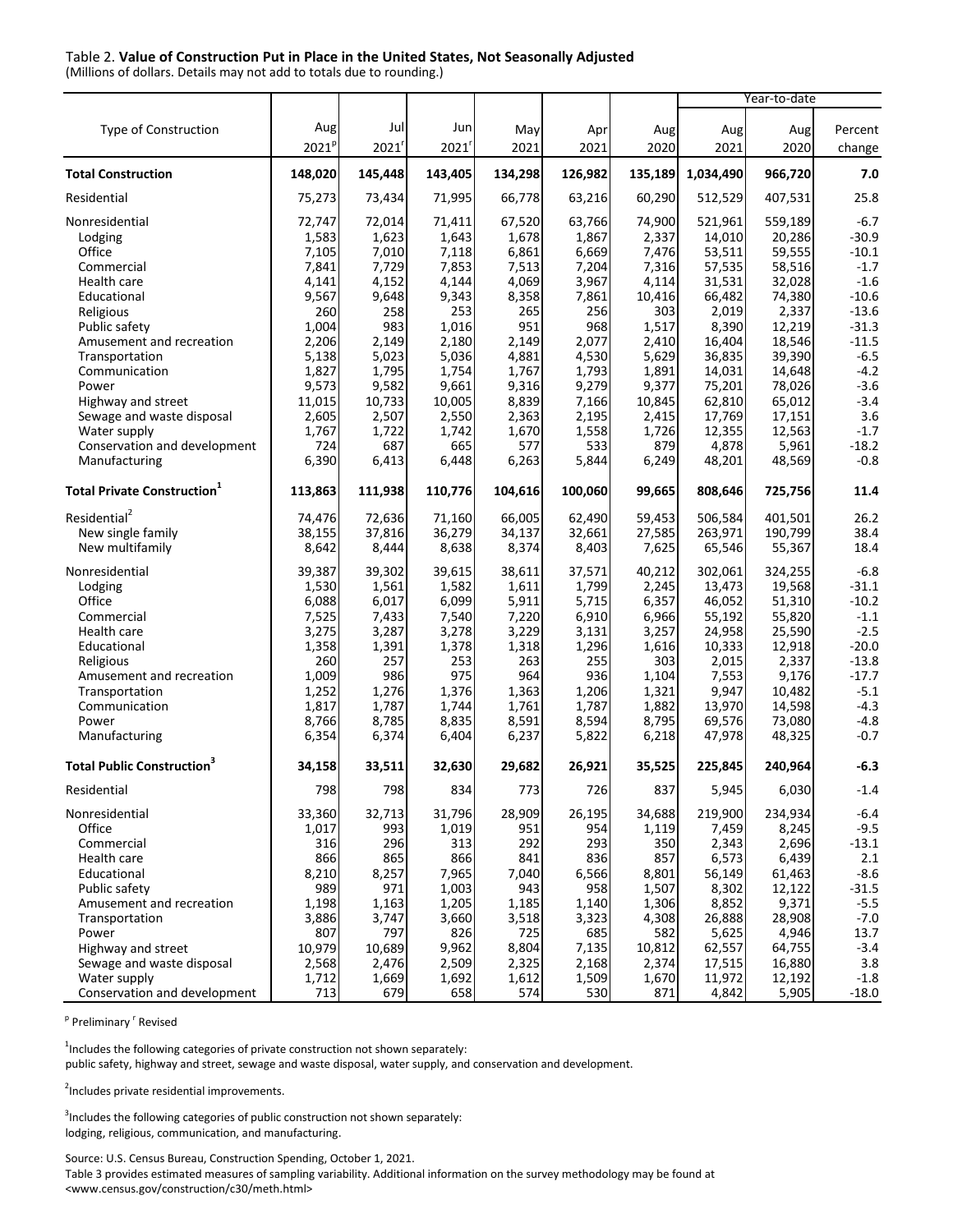#### Table 2. **Value of Construction Put in Place in the United States, Not Seasonally Adjusted**

(Millions of dollars. Details may not add to totals due to rounding.)

| Aug<br>Jul<br>Jun<br>Type of Construction<br>Aug<br>Percent<br>May<br>Apr<br>Aug<br>Aug<br>2021 <sup>p</sup><br>$2021^r$<br>2021<br>2021<br>2021<br>2020<br>2021<br>2020<br>change<br>148,020<br>145,448<br>143,405<br>134,298<br>1,034,490<br>966,720<br>7.0<br>126,982<br>135,189<br>25.8<br>Residential<br>75,273<br>71,995<br>66,778<br>60,290<br>512,529<br>407,531<br>73,434<br>63,216<br>72,747<br>74,900<br>521,961<br>559,189<br>Nonresidential<br>72,014<br>71,411<br>67,520<br>63,766<br>$-6.7$<br>1,583<br>1,623<br>1,643<br>1,678<br>1,867<br>2,337<br>14,010<br>20,286<br>$-30.9$<br>Lodging<br>Office<br>59,555<br>7,105<br>7,010<br>7,118<br>6,861<br>6,669<br>7,476<br>53,511<br>$-10.1$<br>7,841<br>7,729<br>7,853<br>58,516<br>$-1.7$<br>Commercial<br>7,513<br>7,204<br>7,316<br>57,535<br>4,141<br>4,152<br>4,144<br>4,069<br>3,967<br>4,114<br>31,531<br>32,028<br>$-1.6$<br>Health care<br>9,567<br>9,343<br>8,358<br>$-10.6$<br>Educational<br>9,648<br>7,861<br>10,416<br>66,482<br>74,380<br>260<br>258<br>253<br>265<br>256<br>303<br>2,019<br>2,337<br>$-13.6$<br>Religious<br>951<br>1,004<br>983<br>1,016<br>968<br>1,517<br>8,390<br>12,219<br>$-31.3$<br>Public safety<br>2,206<br>2,180<br>2,149<br>16,404<br>18,546<br>$-11.5$<br>Amusement and recreation<br>2,149<br>2,077<br>2,410<br>$-6.5$<br>5,138<br>5,023<br>5,036<br>4,881<br>4,530<br>5,629<br>36,835<br>39,390<br>Transportation<br>$-4.2$<br>Communication<br>1,827<br>1,795<br>1,754<br>1,767<br>1,793<br>1,891<br>14,031<br>14,648<br>$-3.6$<br>9,573<br>9,582<br>9,661<br>9,316<br>9,279<br>9,377<br>75,201<br>78,026<br>Power<br>$-3.4$<br>11,015<br>10,733<br>10,005<br>8,839<br>7,166<br>10,845<br>62.810<br>65.012<br>Highway and street<br>3.6<br>2,605<br>2,507<br>17,769<br>17,151<br>Sewage and waste disposal<br>2,550<br>2,363<br>2,195<br>2,415<br>$-1.7$<br>1,767<br>1,722<br>12,355<br>12,563<br>Water supply<br>1,742<br>1,670<br>1,558<br>1,726<br>$-18.2$<br>5,961<br>Conservation and development<br>724<br>687<br>665<br>577<br>533<br>879<br>4,878<br>6,390<br>6,413<br>6,263<br>48,569<br>$-0.8$<br>Manufacturing<br>6,448<br>5,844<br>6,249<br>48,201<br>113,863<br>111,938<br>110,776<br>104,616<br>808,646<br>11.4<br>100,060<br>99,665<br>725,756<br>Residential <sup>2</sup><br>66,005<br>62,490<br>506.584<br>401.501<br>26.2<br>74,476<br>72,636<br>71,160<br>59,453<br>38.4<br>New single family<br>38,155<br>37,816<br>36,279<br>27,585<br>263,971<br>190,799<br>34,137<br>32,661<br>New multifamily<br>8,374<br>18.4<br>8,642<br>8,444<br>8,638<br>8,403<br>7,625<br>65,546<br>55,367<br>Nonresidential<br>39,302<br>39,615<br>37,571<br>40,212<br>302,061<br>324,255<br>$-6.8$<br>39,387<br>38,611<br>1,799<br>19,568<br>$-31.1$<br>Lodging<br>1,530<br>1,561<br>1,582<br>1,611<br>2,245<br>13,473<br>Office<br>$-10.2$<br>6,088<br>6,017<br>6,099<br>5,911<br>5,715<br>6,357<br>46,052<br>51,310<br>55,820<br>$-1.1$<br>Commercial<br>7,525<br>7,433<br>7,540<br>7,220<br>6,910<br>6,966<br>55,192<br>3,287<br>3,229<br>24,958<br>25,590<br>$-2.5$<br>Health care<br>3,275<br>3,278<br>3,131<br>3,257<br>1,358<br>1,391<br>1,378<br>1,296<br>1,616<br>10,333<br>12,918<br>$-20.0$<br>Educational<br>1,318<br>257<br>253<br>263<br>255<br>303<br>$-13.8$<br>Religious<br>260<br>2,015<br>2,337<br>1,009<br>986<br>975<br>964<br>936<br>7,553<br>9,176<br>$-17.7$<br>Amusement and recreation<br>1,104<br>10,482<br>$-5.1$<br>1,252<br>1,276<br>1,376<br>1,363<br>1,206<br>1,321<br>9,947<br>Transportation<br>$-4.3$<br>1,817<br>1,787<br>13,970<br>14,598<br>Communication<br>1,744<br>1,761<br>1,787<br>1,882<br>8,766<br>8,785<br>8,835<br>8,591<br>8,594<br>8,795<br>69,576<br>73,080<br>$-4.8$<br>Power<br>$-0.7$<br>Manufacturing<br>6,354<br>6,374<br>6,404<br>6,237<br>5,822<br>6,218<br>47,978<br>48,325<br><b>Total Public Construction</b> <sup>3</sup><br>33,511<br>32,630<br>29,682<br>26,921<br>35,525<br>225,845<br>240,964<br>$-6.3$<br>34,158<br>Residential<br>798<br>798 <br>834<br>773I<br>7261<br>837<br>5,945<br>6,030<br>-1.4<br>Nonresidential<br>33,360<br>32,713<br>31,796<br>28,909<br>26,195<br>34,688<br>219,900<br>234,934<br>$-6.4$<br>$-9.5$<br>Office<br>1,017<br>993<br>1,019<br>951<br>954<br>1,119<br>7,459<br>8,245<br>316<br>296<br>313<br>292<br>293<br>350<br>2,696<br>$-13.1$<br>Commercial<br>2,343<br>866<br>865<br>866<br>841<br>836<br>857<br>6,573<br>6,439<br>2.1<br>Health care<br>8,210<br>8,257<br>7,965<br>$-8.6$<br>Educational<br>7,040<br>6,566<br>8,801<br>56,149<br>61,463<br>989<br>971<br>1,003<br>943<br>958<br>8,302<br>$-31.5$<br>Public safety<br>1,507<br>12,122<br>9,371<br>$-5.5$<br>Amusement and recreation<br>1,198<br>1,163<br>1,205<br>1,185<br>1,306<br>8,852<br>1,140<br>3,886<br>3,747<br>3,660<br>28,908<br>$-7.0$<br>Transportation<br>3,518<br>3,323<br>4,308<br>26,888<br>Power<br>807<br>797<br>826<br>725<br>685<br>582<br>4,946<br>13.7<br>5,625<br>9,962<br>$-3.4$<br>Highway and street<br>10,979<br>10,689<br>8,804<br>10,812<br>7,135<br>62,557<br>64,755<br>3.8<br>Sewage and waste disposal<br>2,568<br>2,476<br>2,509<br>2,325<br>2,374<br>17,515<br>16,880<br>2,168<br>$-1.8$<br>Water supply<br>1,712<br>1,669<br>1,692<br>1,612<br>1,509<br>11,972<br>12,192<br>1,670 |                                                |     |     |     |     |     |     | Year-to-date |       |         |
|-------------------------------------------------------------------------------------------------------------------------------------------------------------------------------------------------------------------------------------------------------------------------------------------------------------------------------------------------------------------------------------------------------------------------------------------------------------------------------------------------------------------------------------------------------------------------------------------------------------------------------------------------------------------------------------------------------------------------------------------------------------------------------------------------------------------------------------------------------------------------------------------------------------------------------------------------------------------------------------------------------------------------------------------------------------------------------------------------------------------------------------------------------------------------------------------------------------------------------------------------------------------------------------------------------------------------------------------------------------------------------------------------------------------------------------------------------------------------------------------------------------------------------------------------------------------------------------------------------------------------------------------------------------------------------------------------------------------------------------------------------------------------------------------------------------------------------------------------------------------------------------------------------------------------------------------------------------------------------------------------------------------------------------------------------------------------------------------------------------------------------------------------------------------------------------------------------------------------------------------------------------------------------------------------------------------------------------------------------------------------------------------------------------------------------------------------------------------------------------------------------------------------------------------------------------------------------------------------------------------------------------------------------------------------------------------------------------------------------------------------------------------------------------------------------------------------------------------------------------------------------------------------------------------------------------------------------------------------------------------------------------------------------------------------------------------------------------------------------------------------------------------------------------------------------------------------------------------------------------------------------------------------------------------------------------------------------------------------------------------------------------------------------------------------------------------------------------------------------------------------------------------------------------------------------------------------------------------------------------------------------------------------------------------------------------------------------------------------------------------------------------------------------------------------------------------------------------------------------------------------------------------------------------------------------------------------------------------------------------------------------------------------------------------------------------------------------------------------------------------------------------------------------------------------------------------------------------------------------------------------------------------------------------------------------------------------------------------------------------------------------------------------------------------------------------------------------------------------------------------------------------------------------------------------------------------------------------------------------------------------------------------------------------------------------------------------------------------------------------------------------------------------------------------------------------------------------------------------------------------------------------------------------------------------------------------------------------------------------------------------------------------------------------------------------------------------------------------------------------------------------------------------------------------------------------------------------------------------------------------------------------------------------------------------|------------------------------------------------|-----|-----|-----|-----|-----|-----|--------------|-------|---------|
|                                                                                                                                                                                                                                                                                                                                                                                                                                                                                                                                                                                                                                                                                                                                                                                                                                                                                                                                                                                                                                                                                                                                                                                                                                                                                                                                                                                                                                                                                                                                                                                                                                                                                                                                                                                                                                                                                                                                                                                                                                                                                                                                                                                                                                                                                                                                                                                                                                                                                                                                                                                                                                                                                                                                                                                                                                                                                                                                                                                                                                                                                                                                                                                                                                                                                                                                                                                                                                                                                                                                                                                                                                                                                                                                                                                                                                                                                                                                                                                                                                                                                                                                                                                                                                                                                                                                                                                                                                                                                                                                                                                                                                                                                                                                                                                                                                                                                                                                                                                                                                                                                                                                                                                                                                                                                                 |                                                |     |     |     |     |     |     |              |       |         |
|                                                                                                                                                                                                                                                                                                                                                                                                                                                                                                                                                                                                                                                                                                                                                                                                                                                                                                                                                                                                                                                                                                                                                                                                                                                                                                                                                                                                                                                                                                                                                                                                                                                                                                                                                                                                                                                                                                                                                                                                                                                                                                                                                                                                                                                                                                                                                                                                                                                                                                                                                                                                                                                                                                                                                                                                                                                                                                                                                                                                                                                                                                                                                                                                                                                                                                                                                                                                                                                                                                                                                                                                                                                                                                                                                                                                                                                                                                                                                                                                                                                                                                                                                                                                                                                                                                                                                                                                                                                                                                                                                                                                                                                                                                                                                                                                                                                                                                                                                                                                                                                                                                                                                                                                                                                                                                 |                                                |     |     |     |     |     |     |              |       |         |
|                                                                                                                                                                                                                                                                                                                                                                                                                                                                                                                                                                                                                                                                                                                                                                                                                                                                                                                                                                                                                                                                                                                                                                                                                                                                                                                                                                                                                                                                                                                                                                                                                                                                                                                                                                                                                                                                                                                                                                                                                                                                                                                                                                                                                                                                                                                                                                                                                                                                                                                                                                                                                                                                                                                                                                                                                                                                                                                                                                                                                                                                                                                                                                                                                                                                                                                                                                                                                                                                                                                                                                                                                                                                                                                                                                                                                                                                                                                                                                                                                                                                                                                                                                                                                                                                                                                                                                                                                                                                                                                                                                                                                                                                                                                                                                                                                                                                                                                                                                                                                                                                                                                                                                                                                                                                                                 |                                                |     |     |     |     |     |     |              |       |         |
|                                                                                                                                                                                                                                                                                                                                                                                                                                                                                                                                                                                                                                                                                                                                                                                                                                                                                                                                                                                                                                                                                                                                                                                                                                                                                                                                                                                                                                                                                                                                                                                                                                                                                                                                                                                                                                                                                                                                                                                                                                                                                                                                                                                                                                                                                                                                                                                                                                                                                                                                                                                                                                                                                                                                                                                                                                                                                                                                                                                                                                                                                                                                                                                                                                                                                                                                                                                                                                                                                                                                                                                                                                                                                                                                                                                                                                                                                                                                                                                                                                                                                                                                                                                                                                                                                                                                                                                                                                                                                                                                                                                                                                                                                                                                                                                                                                                                                                                                                                                                                                                                                                                                                                                                                                                                                                 | <b>Total Construction</b>                      |     |     |     |     |     |     |              |       |         |
|                                                                                                                                                                                                                                                                                                                                                                                                                                                                                                                                                                                                                                                                                                                                                                                                                                                                                                                                                                                                                                                                                                                                                                                                                                                                                                                                                                                                                                                                                                                                                                                                                                                                                                                                                                                                                                                                                                                                                                                                                                                                                                                                                                                                                                                                                                                                                                                                                                                                                                                                                                                                                                                                                                                                                                                                                                                                                                                                                                                                                                                                                                                                                                                                                                                                                                                                                                                                                                                                                                                                                                                                                                                                                                                                                                                                                                                                                                                                                                                                                                                                                                                                                                                                                                                                                                                                                                                                                                                                                                                                                                                                                                                                                                                                                                                                                                                                                                                                                                                                                                                                                                                                                                                                                                                                                                 |                                                |     |     |     |     |     |     |              |       |         |
|                                                                                                                                                                                                                                                                                                                                                                                                                                                                                                                                                                                                                                                                                                                                                                                                                                                                                                                                                                                                                                                                                                                                                                                                                                                                                                                                                                                                                                                                                                                                                                                                                                                                                                                                                                                                                                                                                                                                                                                                                                                                                                                                                                                                                                                                                                                                                                                                                                                                                                                                                                                                                                                                                                                                                                                                                                                                                                                                                                                                                                                                                                                                                                                                                                                                                                                                                                                                                                                                                                                                                                                                                                                                                                                                                                                                                                                                                                                                                                                                                                                                                                                                                                                                                                                                                                                                                                                                                                                                                                                                                                                                                                                                                                                                                                                                                                                                                                                                                                                                                                                                                                                                                                                                                                                                                                 |                                                |     |     |     |     |     |     |              |       |         |
|                                                                                                                                                                                                                                                                                                                                                                                                                                                                                                                                                                                                                                                                                                                                                                                                                                                                                                                                                                                                                                                                                                                                                                                                                                                                                                                                                                                                                                                                                                                                                                                                                                                                                                                                                                                                                                                                                                                                                                                                                                                                                                                                                                                                                                                                                                                                                                                                                                                                                                                                                                                                                                                                                                                                                                                                                                                                                                                                                                                                                                                                                                                                                                                                                                                                                                                                                                                                                                                                                                                                                                                                                                                                                                                                                                                                                                                                                                                                                                                                                                                                                                                                                                                                                                                                                                                                                                                                                                                                                                                                                                                                                                                                                                                                                                                                                                                                                                                                                                                                                                                                                                                                                                                                                                                                                                 |                                                |     |     |     |     |     |     |              |       |         |
|                                                                                                                                                                                                                                                                                                                                                                                                                                                                                                                                                                                                                                                                                                                                                                                                                                                                                                                                                                                                                                                                                                                                                                                                                                                                                                                                                                                                                                                                                                                                                                                                                                                                                                                                                                                                                                                                                                                                                                                                                                                                                                                                                                                                                                                                                                                                                                                                                                                                                                                                                                                                                                                                                                                                                                                                                                                                                                                                                                                                                                                                                                                                                                                                                                                                                                                                                                                                                                                                                                                                                                                                                                                                                                                                                                                                                                                                                                                                                                                                                                                                                                                                                                                                                                                                                                                                                                                                                                                                                                                                                                                                                                                                                                                                                                                                                                                                                                                                                                                                                                                                                                                                                                                                                                                                                                 |                                                |     |     |     |     |     |     |              |       |         |
|                                                                                                                                                                                                                                                                                                                                                                                                                                                                                                                                                                                                                                                                                                                                                                                                                                                                                                                                                                                                                                                                                                                                                                                                                                                                                                                                                                                                                                                                                                                                                                                                                                                                                                                                                                                                                                                                                                                                                                                                                                                                                                                                                                                                                                                                                                                                                                                                                                                                                                                                                                                                                                                                                                                                                                                                                                                                                                                                                                                                                                                                                                                                                                                                                                                                                                                                                                                                                                                                                                                                                                                                                                                                                                                                                                                                                                                                                                                                                                                                                                                                                                                                                                                                                                                                                                                                                                                                                                                                                                                                                                                                                                                                                                                                                                                                                                                                                                                                                                                                                                                                                                                                                                                                                                                                                                 |                                                |     |     |     |     |     |     |              |       |         |
|                                                                                                                                                                                                                                                                                                                                                                                                                                                                                                                                                                                                                                                                                                                                                                                                                                                                                                                                                                                                                                                                                                                                                                                                                                                                                                                                                                                                                                                                                                                                                                                                                                                                                                                                                                                                                                                                                                                                                                                                                                                                                                                                                                                                                                                                                                                                                                                                                                                                                                                                                                                                                                                                                                                                                                                                                                                                                                                                                                                                                                                                                                                                                                                                                                                                                                                                                                                                                                                                                                                                                                                                                                                                                                                                                                                                                                                                                                                                                                                                                                                                                                                                                                                                                                                                                                                                                                                                                                                                                                                                                                                                                                                                                                                                                                                                                                                                                                                                                                                                                                                                                                                                                                                                                                                                                                 |                                                |     |     |     |     |     |     |              |       |         |
|                                                                                                                                                                                                                                                                                                                                                                                                                                                                                                                                                                                                                                                                                                                                                                                                                                                                                                                                                                                                                                                                                                                                                                                                                                                                                                                                                                                                                                                                                                                                                                                                                                                                                                                                                                                                                                                                                                                                                                                                                                                                                                                                                                                                                                                                                                                                                                                                                                                                                                                                                                                                                                                                                                                                                                                                                                                                                                                                                                                                                                                                                                                                                                                                                                                                                                                                                                                                                                                                                                                                                                                                                                                                                                                                                                                                                                                                                                                                                                                                                                                                                                                                                                                                                                                                                                                                                                                                                                                                                                                                                                                                                                                                                                                                                                                                                                                                                                                                                                                                                                                                                                                                                                                                                                                                                                 |                                                |     |     |     |     |     |     |              |       |         |
|                                                                                                                                                                                                                                                                                                                                                                                                                                                                                                                                                                                                                                                                                                                                                                                                                                                                                                                                                                                                                                                                                                                                                                                                                                                                                                                                                                                                                                                                                                                                                                                                                                                                                                                                                                                                                                                                                                                                                                                                                                                                                                                                                                                                                                                                                                                                                                                                                                                                                                                                                                                                                                                                                                                                                                                                                                                                                                                                                                                                                                                                                                                                                                                                                                                                                                                                                                                                                                                                                                                                                                                                                                                                                                                                                                                                                                                                                                                                                                                                                                                                                                                                                                                                                                                                                                                                                                                                                                                                                                                                                                                                                                                                                                                                                                                                                                                                                                                                                                                                                                                                                                                                                                                                                                                                                                 |                                                |     |     |     |     |     |     |              |       |         |
|                                                                                                                                                                                                                                                                                                                                                                                                                                                                                                                                                                                                                                                                                                                                                                                                                                                                                                                                                                                                                                                                                                                                                                                                                                                                                                                                                                                                                                                                                                                                                                                                                                                                                                                                                                                                                                                                                                                                                                                                                                                                                                                                                                                                                                                                                                                                                                                                                                                                                                                                                                                                                                                                                                                                                                                                                                                                                                                                                                                                                                                                                                                                                                                                                                                                                                                                                                                                                                                                                                                                                                                                                                                                                                                                                                                                                                                                                                                                                                                                                                                                                                                                                                                                                                                                                                                                                                                                                                                                                                                                                                                                                                                                                                                                                                                                                                                                                                                                                                                                                                                                                                                                                                                                                                                                                                 |                                                |     |     |     |     |     |     |              |       |         |
|                                                                                                                                                                                                                                                                                                                                                                                                                                                                                                                                                                                                                                                                                                                                                                                                                                                                                                                                                                                                                                                                                                                                                                                                                                                                                                                                                                                                                                                                                                                                                                                                                                                                                                                                                                                                                                                                                                                                                                                                                                                                                                                                                                                                                                                                                                                                                                                                                                                                                                                                                                                                                                                                                                                                                                                                                                                                                                                                                                                                                                                                                                                                                                                                                                                                                                                                                                                                                                                                                                                                                                                                                                                                                                                                                                                                                                                                                                                                                                                                                                                                                                                                                                                                                                                                                                                                                                                                                                                                                                                                                                                                                                                                                                                                                                                                                                                                                                                                                                                                                                                                                                                                                                                                                                                                                                 |                                                |     |     |     |     |     |     |              |       |         |
|                                                                                                                                                                                                                                                                                                                                                                                                                                                                                                                                                                                                                                                                                                                                                                                                                                                                                                                                                                                                                                                                                                                                                                                                                                                                                                                                                                                                                                                                                                                                                                                                                                                                                                                                                                                                                                                                                                                                                                                                                                                                                                                                                                                                                                                                                                                                                                                                                                                                                                                                                                                                                                                                                                                                                                                                                                                                                                                                                                                                                                                                                                                                                                                                                                                                                                                                                                                                                                                                                                                                                                                                                                                                                                                                                                                                                                                                                                                                                                                                                                                                                                                                                                                                                                                                                                                                                                                                                                                                                                                                                                                                                                                                                                                                                                                                                                                                                                                                                                                                                                                                                                                                                                                                                                                                                                 |                                                |     |     |     |     |     |     |              |       |         |
|                                                                                                                                                                                                                                                                                                                                                                                                                                                                                                                                                                                                                                                                                                                                                                                                                                                                                                                                                                                                                                                                                                                                                                                                                                                                                                                                                                                                                                                                                                                                                                                                                                                                                                                                                                                                                                                                                                                                                                                                                                                                                                                                                                                                                                                                                                                                                                                                                                                                                                                                                                                                                                                                                                                                                                                                                                                                                                                                                                                                                                                                                                                                                                                                                                                                                                                                                                                                                                                                                                                                                                                                                                                                                                                                                                                                                                                                                                                                                                                                                                                                                                                                                                                                                                                                                                                                                                                                                                                                                                                                                                                                                                                                                                                                                                                                                                                                                                                                                                                                                                                                                                                                                                                                                                                                                                 |                                                |     |     |     |     |     |     |              |       |         |
|                                                                                                                                                                                                                                                                                                                                                                                                                                                                                                                                                                                                                                                                                                                                                                                                                                                                                                                                                                                                                                                                                                                                                                                                                                                                                                                                                                                                                                                                                                                                                                                                                                                                                                                                                                                                                                                                                                                                                                                                                                                                                                                                                                                                                                                                                                                                                                                                                                                                                                                                                                                                                                                                                                                                                                                                                                                                                                                                                                                                                                                                                                                                                                                                                                                                                                                                                                                                                                                                                                                                                                                                                                                                                                                                                                                                                                                                                                                                                                                                                                                                                                                                                                                                                                                                                                                                                                                                                                                                                                                                                                                                                                                                                                                                                                                                                                                                                                                                                                                                                                                                                                                                                                                                                                                                                                 |                                                |     |     |     |     |     |     |              |       |         |
|                                                                                                                                                                                                                                                                                                                                                                                                                                                                                                                                                                                                                                                                                                                                                                                                                                                                                                                                                                                                                                                                                                                                                                                                                                                                                                                                                                                                                                                                                                                                                                                                                                                                                                                                                                                                                                                                                                                                                                                                                                                                                                                                                                                                                                                                                                                                                                                                                                                                                                                                                                                                                                                                                                                                                                                                                                                                                                                                                                                                                                                                                                                                                                                                                                                                                                                                                                                                                                                                                                                                                                                                                                                                                                                                                                                                                                                                                                                                                                                                                                                                                                                                                                                                                                                                                                                                                                                                                                                                                                                                                                                                                                                                                                                                                                                                                                                                                                                                                                                                                                                                                                                                                                                                                                                                                                 |                                                |     |     |     |     |     |     |              |       |         |
|                                                                                                                                                                                                                                                                                                                                                                                                                                                                                                                                                                                                                                                                                                                                                                                                                                                                                                                                                                                                                                                                                                                                                                                                                                                                                                                                                                                                                                                                                                                                                                                                                                                                                                                                                                                                                                                                                                                                                                                                                                                                                                                                                                                                                                                                                                                                                                                                                                                                                                                                                                                                                                                                                                                                                                                                                                                                                                                                                                                                                                                                                                                                                                                                                                                                                                                                                                                                                                                                                                                                                                                                                                                                                                                                                                                                                                                                                                                                                                                                                                                                                                                                                                                                                                                                                                                                                                                                                                                                                                                                                                                                                                                                                                                                                                                                                                                                                                                                                                                                                                                                                                                                                                                                                                                                                                 |                                                |     |     |     |     |     |     |              |       |         |
|                                                                                                                                                                                                                                                                                                                                                                                                                                                                                                                                                                                                                                                                                                                                                                                                                                                                                                                                                                                                                                                                                                                                                                                                                                                                                                                                                                                                                                                                                                                                                                                                                                                                                                                                                                                                                                                                                                                                                                                                                                                                                                                                                                                                                                                                                                                                                                                                                                                                                                                                                                                                                                                                                                                                                                                                                                                                                                                                                                                                                                                                                                                                                                                                                                                                                                                                                                                                                                                                                                                                                                                                                                                                                                                                                                                                                                                                                                                                                                                                                                                                                                                                                                                                                                                                                                                                                                                                                                                                                                                                                                                                                                                                                                                                                                                                                                                                                                                                                                                                                                                                                                                                                                                                                                                                                                 |                                                |     |     |     |     |     |     |              |       |         |
|                                                                                                                                                                                                                                                                                                                                                                                                                                                                                                                                                                                                                                                                                                                                                                                                                                                                                                                                                                                                                                                                                                                                                                                                                                                                                                                                                                                                                                                                                                                                                                                                                                                                                                                                                                                                                                                                                                                                                                                                                                                                                                                                                                                                                                                                                                                                                                                                                                                                                                                                                                                                                                                                                                                                                                                                                                                                                                                                                                                                                                                                                                                                                                                                                                                                                                                                                                                                                                                                                                                                                                                                                                                                                                                                                                                                                                                                                                                                                                                                                                                                                                                                                                                                                                                                                                                                                                                                                                                                                                                                                                                                                                                                                                                                                                                                                                                                                                                                                                                                                                                                                                                                                                                                                                                                                                 |                                                |     |     |     |     |     |     |              |       |         |
|                                                                                                                                                                                                                                                                                                                                                                                                                                                                                                                                                                                                                                                                                                                                                                                                                                                                                                                                                                                                                                                                                                                                                                                                                                                                                                                                                                                                                                                                                                                                                                                                                                                                                                                                                                                                                                                                                                                                                                                                                                                                                                                                                                                                                                                                                                                                                                                                                                                                                                                                                                                                                                                                                                                                                                                                                                                                                                                                                                                                                                                                                                                                                                                                                                                                                                                                                                                                                                                                                                                                                                                                                                                                                                                                                                                                                                                                                                                                                                                                                                                                                                                                                                                                                                                                                                                                                                                                                                                                                                                                                                                                                                                                                                                                                                                                                                                                                                                                                                                                                                                                                                                                                                                                                                                                                                 | <b>Total Private Construction</b> <sup>1</sup> |     |     |     |     |     |     |              |       |         |
|                                                                                                                                                                                                                                                                                                                                                                                                                                                                                                                                                                                                                                                                                                                                                                                                                                                                                                                                                                                                                                                                                                                                                                                                                                                                                                                                                                                                                                                                                                                                                                                                                                                                                                                                                                                                                                                                                                                                                                                                                                                                                                                                                                                                                                                                                                                                                                                                                                                                                                                                                                                                                                                                                                                                                                                                                                                                                                                                                                                                                                                                                                                                                                                                                                                                                                                                                                                                                                                                                                                                                                                                                                                                                                                                                                                                                                                                                                                                                                                                                                                                                                                                                                                                                                                                                                                                                                                                                                                                                                                                                                                                                                                                                                                                                                                                                                                                                                                                                                                                                                                                                                                                                                                                                                                                                                 |                                                |     |     |     |     |     |     |              |       |         |
|                                                                                                                                                                                                                                                                                                                                                                                                                                                                                                                                                                                                                                                                                                                                                                                                                                                                                                                                                                                                                                                                                                                                                                                                                                                                                                                                                                                                                                                                                                                                                                                                                                                                                                                                                                                                                                                                                                                                                                                                                                                                                                                                                                                                                                                                                                                                                                                                                                                                                                                                                                                                                                                                                                                                                                                                                                                                                                                                                                                                                                                                                                                                                                                                                                                                                                                                                                                                                                                                                                                                                                                                                                                                                                                                                                                                                                                                                                                                                                                                                                                                                                                                                                                                                                                                                                                                                                                                                                                                                                                                                                                                                                                                                                                                                                                                                                                                                                                                                                                                                                                                                                                                                                                                                                                                                                 |                                                |     |     |     |     |     |     |              |       |         |
|                                                                                                                                                                                                                                                                                                                                                                                                                                                                                                                                                                                                                                                                                                                                                                                                                                                                                                                                                                                                                                                                                                                                                                                                                                                                                                                                                                                                                                                                                                                                                                                                                                                                                                                                                                                                                                                                                                                                                                                                                                                                                                                                                                                                                                                                                                                                                                                                                                                                                                                                                                                                                                                                                                                                                                                                                                                                                                                                                                                                                                                                                                                                                                                                                                                                                                                                                                                                                                                                                                                                                                                                                                                                                                                                                                                                                                                                                                                                                                                                                                                                                                                                                                                                                                                                                                                                                                                                                                                                                                                                                                                                                                                                                                                                                                                                                                                                                                                                                                                                                                                                                                                                                                                                                                                                                                 |                                                |     |     |     |     |     |     |              |       |         |
|                                                                                                                                                                                                                                                                                                                                                                                                                                                                                                                                                                                                                                                                                                                                                                                                                                                                                                                                                                                                                                                                                                                                                                                                                                                                                                                                                                                                                                                                                                                                                                                                                                                                                                                                                                                                                                                                                                                                                                                                                                                                                                                                                                                                                                                                                                                                                                                                                                                                                                                                                                                                                                                                                                                                                                                                                                                                                                                                                                                                                                                                                                                                                                                                                                                                                                                                                                                                                                                                                                                                                                                                                                                                                                                                                                                                                                                                                                                                                                                                                                                                                                                                                                                                                                                                                                                                                                                                                                                                                                                                                                                                                                                                                                                                                                                                                                                                                                                                                                                                                                                                                                                                                                                                                                                                                                 |                                                |     |     |     |     |     |     |              |       |         |
|                                                                                                                                                                                                                                                                                                                                                                                                                                                                                                                                                                                                                                                                                                                                                                                                                                                                                                                                                                                                                                                                                                                                                                                                                                                                                                                                                                                                                                                                                                                                                                                                                                                                                                                                                                                                                                                                                                                                                                                                                                                                                                                                                                                                                                                                                                                                                                                                                                                                                                                                                                                                                                                                                                                                                                                                                                                                                                                                                                                                                                                                                                                                                                                                                                                                                                                                                                                                                                                                                                                                                                                                                                                                                                                                                                                                                                                                                                                                                                                                                                                                                                                                                                                                                                                                                                                                                                                                                                                                                                                                                                                                                                                                                                                                                                                                                                                                                                                                                                                                                                                                                                                                                                                                                                                                                                 |                                                |     |     |     |     |     |     |              |       |         |
|                                                                                                                                                                                                                                                                                                                                                                                                                                                                                                                                                                                                                                                                                                                                                                                                                                                                                                                                                                                                                                                                                                                                                                                                                                                                                                                                                                                                                                                                                                                                                                                                                                                                                                                                                                                                                                                                                                                                                                                                                                                                                                                                                                                                                                                                                                                                                                                                                                                                                                                                                                                                                                                                                                                                                                                                                                                                                                                                                                                                                                                                                                                                                                                                                                                                                                                                                                                                                                                                                                                                                                                                                                                                                                                                                                                                                                                                                                                                                                                                                                                                                                                                                                                                                                                                                                                                                                                                                                                                                                                                                                                                                                                                                                                                                                                                                                                                                                                                                                                                                                                                                                                                                                                                                                                                                                 |                                                |     |     |     |     |     |     |              |       |         |
|                                                                                                                                                                                                                                                                                                                                                                                                                                                                                                                                                                                                                                                                                                                                                                                                                                                                                                                                                                                                                                                                                                                                                                                                                                                                                                                                                                                                                                                                                                                                                                                                                                                                                                                                                                                                                                                                                                                                                                                                                                                                                                                                                                                                                                                                                                                                                                                                                                                                                                                                                                                                                                                                                                                                                                                                                                                                                                                                                                                                                                                                                                                                                                                                                                                                                                                                                                                                                                                                                                                                                                                                                                                                                                                                                                                                                                                                                                                                                                                                                                                                                                                                                                                                                                                                                                                                                                                                                                                                                                                                                                                                                                                                                                                                                                                                                                                                                                                                                                                                                                                                                                                                                                                                                                                                                                 |                                                |     |     |     |     |     |     |              |       |         |
|                                                                                                                                                                                                                                                                                                                                                                                                                                                                                                                                                                                                                                                                                                                                                                                                                                                                                                                                                                                                                                                                                                                                                                                                                                                                                                                                                                                                                                                                                                                                                                                                                                                                                                                                                                                                                                                                                                                                                                                                                                                                                                                                                                                                                                                                                                                                                                                                                                                                                                                                                                                                                                                                                                                                                                                                                                                                                                                                                                                                                                                                                                                                                                                                                                                                                                                                                                                                                                                                                                                                                                                                                                                                                                                                                                                                                                                                                                                                                                                                                                                                                                                                                                                                                                                                                                                                                                                                                                                                                                                                                                                                                                                                                                                                                                                                                                                                                                                                                                                                                                                                                                                                                                                                                                                                                                 |                                                |     |     |     |     |     |     |              |       |         |
|                                                                                                                                                                                                                                                                                                                                                                                                                                                                                                                                                                                                                                                                                                                                                                                                                                                                                                                                                                                                                                                                                                                                                                                                                                                                                                                                                                                                                                                                                                                                                                                                                                                                                                                                                                                                                                                                                                                                                                                                                                                                                                                                                                                                                                                                                                                                                                                                                                                                                                                                                                                                                                                                                                                                                                                                                                                                                                                                                                                                                                                                                                                                                                                                                                                                                                                                                                                                                                                                                                                                                                                                                                                                                                                                                                                                                                                                                                                                                                                                                                                                                                                                                                                                                                                                                                                                                                                                                                                                                                                                                                                                                                                                                                                                                                                                                                                                                                                                                                                                                                                                                                                                                                                                                                                                                                 |                                                |     |     |     |     |     |     |              |       |         |
|                                                                                                                                                                                                                                                                                                                                                                                                                                                                                                                                                                                                                                                                                                                                                                                                                                                                                                                                                                                                                                                                                                                                                                                                                                                                                                                                                                                                                                                                                                                                                                                                                                                                                                                                                                                                                                                                                                                                                                                                                                                                                                                                                                                                                                                                                                                                                                                                                                                                                                                                                                                                                                                                                                                                                                                                                                                                                                                                                                                                                                                                                                                                                                                                                                                                                                                                                                                                                                                                                                                                                                                                                                                                                                                                                                                                                                                                                                                                                                                                                                                                                                                                                                                                                                                                                                                                                                                                                                                                                                                                                                                                                                                                                                                                                                                                                                                                                                                                                                                                                                                                                                                                                                                                                                                                                                 |                                                |     |     |     |     |     |     |              |       |         |
|                                                                                                                                                                                                                                                                                                                                                                                                                                                                                                                                                                                                                                                                                                                                                                                                                                                                                                                                                                                                                                                                                                                                                                                                                                                                                                                                                                                                                                                                                                                                                                                                                                                                                                                                                                                                                                                                                                                                                                                                                                                                                                                                                                                                                                                                                                                                                                                                                                                                                                                                                                                                                                                                                                                                                                                                                                                                                                                                                                                                                                                                                                                                                                                                                                                                                                                                                                                                                                                                                                                                                                                                                                                                                                                                                                                                                                                                                                                                                                                                                                                                                                                                                                                                                                                                                                                                                                                                                                                                                                                                                                                                                                                                                                                                                                                                                                                                                                                                                                                                                                                                                                                                                                                                                                                                                                 |                                                |     |     |     |     |     |     |              |       |         |
|                                                                                                                                                                                                                                                                                                                                                                                                                                                                                                                                                                                                                                                                                                                                                                                                                                                                                                                                                                                                                                                                                                                                                                                                                                                                                                                                                                                                                                                                                                                                                                                                                                                                                                                                                                                                                                                                                                                                                                                                                                                                                                                                                                                                                                                                                                                                                                                                                                                                                                                                                                                                                                                                                                                                                                                                                                                                                                                                                                                                                                                                                                                                                                                                                                                                                                                                                                                                                                                                                                                                                                                                                                                                                                                                                                                                                                                                                                                                                                                                                                                                                                                                                                                                                                                                                                                                                                                                                                                                                                                                                                                                                                                                                                                                                                                                                                                                                                                                                                                                                                                                                                                                                                                                                                                                                                 |                                                |     |     |     |     |     |     |              |       |         |
|                                                                                                                                                                                                                                                                                                                                                                                                                                                                                                                                                                                                                                                                                                                                                                                                                                                                                                                                                                                                                                                                                                                                                                                                                                                                                                                                                                                                                                                                                                                                                                                                                                                                                                                                                                                                                                                                                                                                                                                                                                                                                                                                                                                                                                                                                                                                                                                                                                                                                                                                                                                                                                                                                                                                                                                                                                                                                                                                                                                                                                                                                                                                                                                                                                                                                                                                                                                                                                                                                                                                                                                                                                                                                                                                                                                                                                                                                                                                                                                                                                                                                                                                                                                                                                                                                                                                                                                                                                                                                                                                                                                                                                                                                                                                                                                                                                                                                                                                                                                                                                                                                                                                                                                                                                                                                                 |                                                |     |     |     |     |     |     |              |       |         |
|                                                                                                                                                                                                                                                                                                                                                                                                                                                                                                                                                                                                                                                                                                                                                                                                                                                                                                                                                                                                                                                                                                                                                                                                                                                                                                                                                                                                                                                                                                                                                                                                                                                                                                                                                                                                                                                                                                                                                                                                                                                                                                                                                                                                                                                                                                                                                                                                                                                                                                                                                                                                                                                                                                                                                                                                                                                                                                                                                                                                                                                                                                                                                                                                                                                                                                                                                                                                                                                                                                                                                                                                                                                                                                                                                                                                                                                                                                                                                                                                                                                                                                                                                                                                                                                                                                                                                                                                                                                                                                                                                                                                                                                                                                                                                                                                                                                                                                                                                                                                                                                                                                                                                                                                                                                                                                 |                                                |     |     |     |     |     |     |              |       |         |
|                                                                                                                                                                                                                                                                                                                                                                                                                                                                                                                                                                                                                                                                                                                                                                                                                                                                                                                                                                                                                                                                                                                                                                                                                                                                                                                                                                                                                                                                                                                                                                                                                                                                                                                                                                                                                                                                                                                                                                                                                                                                                                                                                                                                                                                                                                                                                                                                                                                                                                                                                                                                                                                                                                                                                                                                                                                                                                                                                                                                                                                                                                                                                                                                                                                                                                                                                                                                                                                                                                                                                                                                                                                                                                                                                                                                                                                                                                                                                                                                                                                                                                                                                                                                                                                                                                                                                                                                                                                                                                                                                                                                                                                                                                                                                                                                                                                                                                                                                                                                                                                                                                                                                                                                                                                                                                 |                                                |     |     |     |     |     |     |              |       |         |
|                                                                                                                                                                                                                                                                                                                                                                                                                                                                                                                                                                                                                                                                                                                                                                                                                                                                                                                                                                                                                                                                                                                                                                                                                                                                                                                                                                                                                                                                                                                                                                                                                                                                                                                                                                                                                                                                                                                                                                                                                                                                                                                                                                                                                                                                                                                                                                                                                                                                                                                                                                                                                                                                                                                                                                                                                                                                                                                                                                                                                                                                                                                                                                                                                                                                                                                                                                                                                                                                                                                                                                                                                                                                                                                                                                                                                                                                                                                                                                                                                                                                                                                                                                                                                                                                                                                                                                                                                                                                                                                                                                                                                                                                                                                                                                                                                                                                                                                                                                                                                                                                                                                                                                                                                                                                                                 |                                                |     |     |     |     |     |     |              |       |         |
|                                                                                                                                                                                                                                                                                                                                                                                                                                                                                                                                                                                                                                                                                                                                                                                                                                                                                                                                                                                                                                                                                                                                                                                                                                                                                                                                                                                                                                                                                                                                                                                                                                                                                                                                                                                                                                                                                                                                                                                                                                                                                                                                                                                                                                                                                                                                                                                                                                                                                                                                                                                                                                                                                                                                                                                                                                                                                                                                                                                                                                                                                                                                                                                                                                                                                                                                                                                                                                                                                                                                                                                                                                                                                                                                                                                                                                                                                                                                                                                                                                                                                                                                                                                                                                                                                                                                                                                                                                                                                                                                                                                                                                                                                                                                                                                                                                                                                                                                                                                                                                                                                                                                                                                                                                                                                                 |                                                |     |     |     |     |     |     |              |       |         |
|                                                                                                                                                                                                                                                                                                                                                                                                                                                                                                                                                                                                                                                                                                                                                                                                                                                                                                                                                                                                                                                                                                                                                                                                                                                                                                                                                                                                                                                                                                                                                                                                                                                                                                                                                                                                                                                                                                                                                                                                                                                                                                                                                                                                                                                                                                                                                                                                                                                                                                                                                                                                                                                                                                                                                                                                                                                                                                                                                                                                                                                                                                                                                                                                                                                                                                                                                                                                                                                                                                                                                                                                                                                                                                                                                                                                                                                                                                                                                                                                                                                                                                                                                                                                                                                                                                                                                                                                                                                                                                                                                                                                                                                                                                                                                                                                                                                                                                                                                                                                                                                                                                                                                                                                                                                                                                 |                                                |     |     |     |     |     |     |              |       |         |
|                                                                                                                                                                                                                                                                                                                                                                                                                                                                                                                                                                                                                                                                                                                                                                                                                                                                                                                                                                                                                                                                                                                                                                                                                                                                                                                                                                                                                                                                                                                                                                                                                                                                                                                                                                                                                                                                                                                                                                                                                                                                                                                                                                                                                                                                                                                                                                                                                                                                                                                                                                                                                                                                                                                                                                                                                                                                                                                                                                                                                                                                                                                                                                                                                                                                                                                                                                                                                                                                                                                                                                                                                                                                                                                                                                                                                                                                                                                                                                                                                                                                                                                                                                                                                                                                                                                                                                                                                                                                                                                                                                                                                                                                                                                                                                                                                                                                                                                                                                                                                                                                                                                                                                                                                                                                                                 |                                                |     |     |     |     |     |     |              |       |         |
|                                                                                                                                                                                                                                                                                                                                                                                                                                                                                                                                                                                                                                                                                                                                                                                                                                                                                                                                                                                                                                                                                                                                                                                                                                                                                                                                                                                                                                                                                                                                                                                                                                                                                                                                                                                                                                                                                                                                                                                                                                                                                                                                                                                                                                                                                                                                                                                                                                                                                                                                                                                                                                                                                                                                                                                                                                                                                                                                                                                                                                                                                                                                                                                                                                                                                                                                                                                                                                                                                                                                                                                                                                                                                                                                                                                                                                                                                                                                                                                                                                                                                                                                                                                                                                                                                                                                                                                                                                                                                                                                                                                                                                                                                                                                                                                                                                                                                                                                                                                                                                                                                                                                                                                                                                                                                                 |                                                |     |     |     |     |     |     |              |       |         |
|                                                                                                                                                                                                                                                                                                                                                                                                                                                                                                                                                                                                                                                                                                                                                                                                                                                                                                                                                                                                                                                                                                                                                                                                                                                                                                                                                                                                                                                                                                                                                                                                                                                                                                                                                                                                                                                                                                                                                                                                                                                                                                                                                                                                                                                                                                                                                                                                                                                                                                                                                                                                                                                                                                                                                                                                                                                                                                                                                                                                                                                                                                                                                                                                                                                                                                                                                                                                                                                                                                                                                                                                                                                                                                                                                                                                                                                                                                                                                                                                                                                                                                                                                                                                                                                                                                                                                                                                                                                                                                                                                                                                                                                                                                                                                                                                                                                                                                                                                                                                                                                                                                                                                                                                                                                                                                 |                                                |     |     |     |     |     |     |              |       |         |
|                                                                                                                                                                                                                                                                                                                                                                                                                                                                                                                                                                                                                                                                                                                                                                                                                                                                                                                                                                                                                                                                                                                                                                                                                                                                                                                                                                                                                                                                                                                                                                                                                                                                                                                                                                                                                                                                                                                                                                                                                                                                                                                                                                                                                                                                                                                                                                                                                                                                                                                                                                                                                                                                                                                                                                                                                                                                                                                                                                                                                                                                                                                                                                                                                                                                                                                                                                                                                                                                                                                                                                                                                                                                                                                                                                                                                                                                                                                                                                                                                                                                                                                                                                                                                                                                                                                                                                                                                                                                                                                                                                                                                                                                                                                                                                                                                                                                                                                                                                                                                                                                                                                                                                                                                                                                                                 |                                                |     |     |     |     |     |     |              |       |         |
|                                                                                                                                                                                                                                                                                                                                                                                                                                                                                                                                                                                                                                                                                                                                                                                                                                                                                                                                                                                                                                                                                                                                                                                                                                                                                                                                                                                                                                                                                                                                                                                                                                                                                                                                                                                                                                                                                                                                                                                                                                                                                                                                                                                                                                                                                                                                                                                                                                                                                                                                                                                                                                                                                                                                                                                                                                                                                                                                                                                                                                                                                                                                                                                                                                                                                                                                                                                                                                                                                                                                                                                                                                                                                                                                                                                                                                                                                                                                                                                                                                                                                                                                                                                                                                                                                                                                                                                                                                                                                                                                                                                                                                                                                                                                                                                                                                                                                                                                                                                                                                                                                                                                                                                                                                                                                                 |                                                |     |     |     |     |     |     |              |       |         |
|                                                                                                                                                                                                                                                                                                                                                                                                                                                                                                                                                                                                                                                                                                                                                                                                                                                                                                                                                                                                                                                                                                                                                                                                                                                                                                                                                                                                                                                                                                                                                                                                                                                                                                                                                                                                                                                                                                                                                                                                                                                                                                                                                                                                                                                                                                                                                                                                                                                                                                                                                                                                                                                                                                                                                                                                                                                                                                                                                                                                                                                                                                                                                                                                                                                                                                                                                                                                                                                                                                                                                                                                                                                                                                                                                                                                                                                                                                                                                                                                                                                                                                                                                                                                                                                                                                                                                                                                                                                                                                                                                                                                                                                                                                                                                                                                                                                                                                                                                                                                                                                                                                                                                                                                                                                                                                 |                                                |     |     |     |     |     |     |              |       |         |
|                                                                                                                                                                                                                                                                                                                                                                                                                                                                                                                                                                                                                                                                                                                                                                                                                                                                                                                                                                                                                                                                                                                                                                                                                                                                                                                                                                                                                                                                                                                                                                                                                                                                                                                                                                                                                                                                                                                                                                                                                                                                                                                                                                                                                                                                                                                                                                                                                                                                                                                                                                                                                                                                                                                                                                                                                                                                                                                                                                                                                                                                                                                                                                                                                                                                                                                                                                                                                                                                                                                                                                                                                                                                                                                                                                                                                                                                                                                                                                                                                                                                                                                                                                                                                                                                                                                                                                                                                                                                                                                                                                                                                                                                                                                                                                                                                                                                                                                                                                                                                                                                                                                                                                                                                                                                                                 |                                                |     |     |     |     |     |     |              |       |         |
|                                                                                                                                                                                                                                                                                                                                                                                                                                                                                                                                                                                                                                                                                                                                                                                                                                                                                                                                                                                                                                                                                                                                                                                                                                                                                                                                                                                                                                                                                                                                                                                                                                                                                                                                                                                                                                                                                                                                                                                                                                                                                                                                                                                                                                                                                                                                                                                                                                                                                                                                                                                                                                                                                                                                                                                                                                                                                                                                                                                                                                                                                                                                                                                                                                                                                                                                                                                                                                                                                                                                                                                                                                                                                                                                                                                                                                                                                                                                                                                                                                                                                                                                                                                                                                                                                                                                                                                                                                                                                                                                                                                                                                                                                                                                                                                                                                                                                                                                                                                                                                                                                                                                                                                                                                                                                                 |                                                |     |     |     |     |     |     |              |       |         |
|                                                                                                                                                                                                                                                                                                                                                                                                                                                                                                                                                                                                                                                                                                                                                                                                                                                                                                                                                                                                                                                                                                                                                                                                                                                                                                                                                                                                                                                                                                                                                                                                                                                                                                                                                                                                                                                                                                                                                                                                                                                                                                                                                                                                                                                                                                                                                                                                                                                                                                                                                                                                                                                                                                                                                                                                                                                                                                                                                                                                                                                                                                                                                                                                                                                                                                                                                                                                                                                                                                                                                                                                                                                                                                                                                                                                                                                                                                                                                                                                                                                                                                                                                                                                                                                                                                                                                                                                                                                                                                                                                                                                                                                                                                                                                                                                                                                                                                                                                                                                                                                                                                                                                                                                                                                                                                 |                                                |     |     |     |     |     |     |              |       |         |
|                                                                                                                                                                                                                                                                                                                                                                                                                                                                                                                                                                                                                                                                                                                                                                                                                                                                                                                                                                                                                                                                                                                                                                                                                                                                                                                                                                                                                                                                                                                                                                                                                                                                                                                                                                                                                                                                                                                                                                                                                                                                                                                                                                                                                                                                                                                                                                                                                                                                                                                                                                                                                                                                                                                                                                                                                                                                                                                                                                                                                                                                                                                                                                                                                                                                                                                                                                                                                                                                                                                                                                                                                                                                                                                                                                                                                                                                                                                                                                                                                                                                                                                                                                                                                                                                                                                                                                                                                                                                                                                                                                                                                                                                                                                                                                                                                                                                                                                                                                                                                                                                                                                                                                                                                                                                                                 | Conservation and development                   | 713 | 679 | 658 | 574 | 530 | 871 | 4,842        | 5,905 | $-18.0$ |

<sup>p</sup> Preliminary <sup>r</sup> Revised

 $1$ Includes the following categories of private construction not shown separately:

public safety, highway and street, sewage and waste disposal, water supply, and conservation and development.

<sup>2</sup>Includes private residential improvements.

 $3$ Includes the following categories of public construction not shown separately: lodging, religious, communication, and manufacturing.

Source: U.S. Census Bureau, Construction Spending, October 1, 2021.

Table 3 provides estimated measures of sampling variability. Additional information on the survey methodology may be found at [<www.census.gov/construction/c30/meth.html>](http://www.census.gov/construction/c30/meth.html)